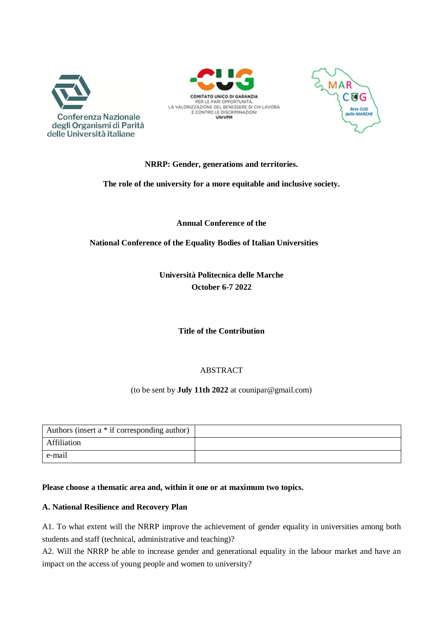





# **NRRP: Gender, generations and territories.**

**The role of the university for a more equitable and inclusive society.**

**Annual Conference of the**

**National Conference of the Equality Bodies of Italian Universities**

**Università Politecnica delle Marche October 6-7 2022**

**Title of the Contribution**

# ABSTRACT

(to be sent by **July 11th 2022** at [counipar@gmail.com\)](mailto:counipar@gmail.com))

| Authors (insert a * if corresponding author) |  |
|----------------------------------------------|--|
| Affiliation                                  |  |
| e-mail                                       |  |

### **Please choose a thematic area and, within it one or at maximum two topics.**

### **A. National Resilience and Recovery Plan**

A1. To what extent will the NRRP improve the achievement of gender equality in universities among both students and staff (technical, administrative and teaching)?

A2. Will the NRRP be able to increase gender and generational equality in the labour market and have an impact on the access of young people and women to university?